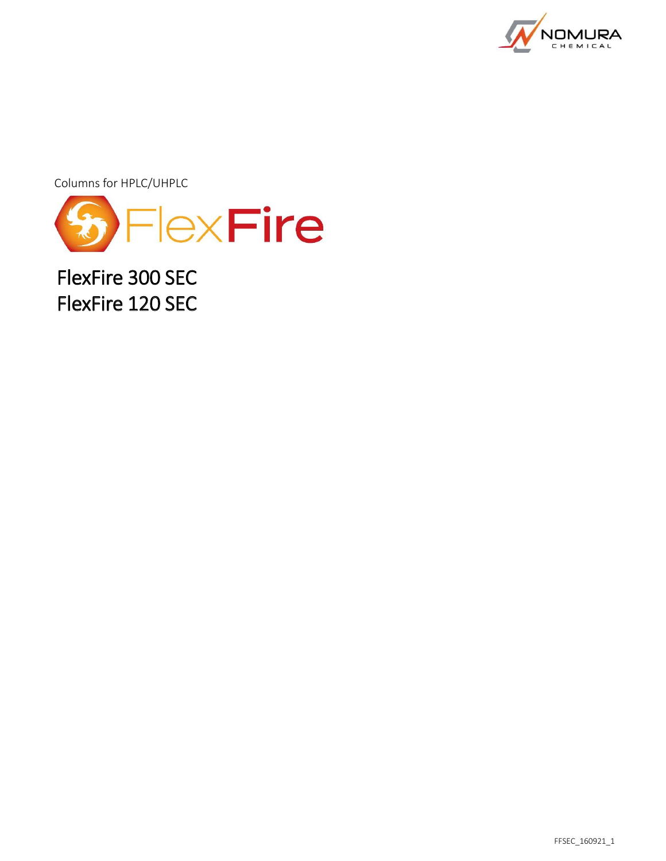

Columns for HPLC/UHPLC



FlexFire 300 SEC FlexFire 120 SEC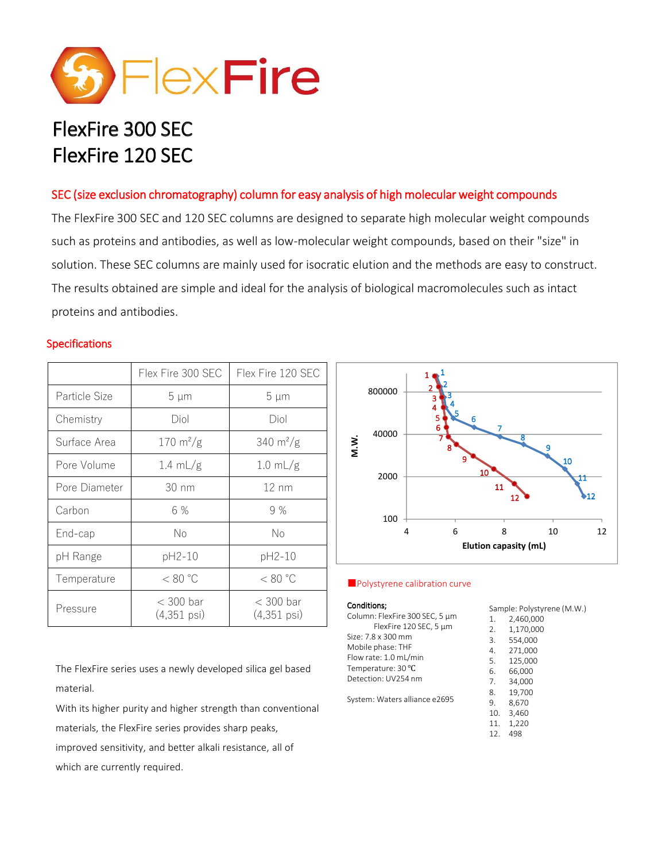

# FlexFire 300 SEC FlexFire 120 SEC

# SEC (size exclusion chromatography) column for easy analysis of high molecular weight compounds

The FlexFire 300 SEC and 120 SEC columns are designed to separate high molecular weight compounds such as proteins and antibodies, as well as low-molecular weight compounds, based on their "size" in solution. These SEC columns are mainly used for isocratic elution and the methods are easy to construct. The results obtained are simple and ideal for the analysis of biological macromolecules such as intact proteins and antibodies.

## **Specifications**

|               | Flex Fire 300 SEC                    | Flex Fire 120 SEC                    |
|---------------|--------------------------------------|--------------------------------------|
| Particle Size | 5 µm                                 | 5 µm                                 |
| Chemistry     | Diol                                 | Diol                                 |
| Surface Area  | $170 \text{ m}^2/\text{g}$           | $340 \text{ m}^2/\text{g}$           |
| Pore Volume   | $1.4 \text{ mL/g}$                   | $1.0$ mL/g                           |
| Pore Diameter | $30 \text{ nm}$                      | $12 \text{ nm}$                      |
| Carbon        | 6 %                                  | 9%                                   |
| End-cap       | Νo                                   | No                                   |
| pH Range      | pH2-10                               | pH2-10                               |
| Temperature   | < 80 °C                              | < 80 °C                              |
| Pressure      | $<$ 300 bar<br>$(4,351 \text{ psi})$ | $<$ 300 bar<br>$(4,351 \text{ psi})$ |



#### **■** Polystyrene calibration curve

#### Conditions;

| <b>Conditions;</b>             | Sample: Polystyrene (M.W.) |           |
|--------------------------------|----------------------------|-----------|
| Column: FlexFire 300 SEC, 5 µm | 1.                         | 2,460,000 |
| FlexFire 120 SEC, 5 µm         | 2.                         | 1,170,000 |
| Size: 7.8 x 300 mm             | 3.                         | 554,000   |
| Mobile phase: THF              | 4.                         | 271,000   |
| Flow rate: 1.0 mL/min          | 5.                         | 125,000   |
| Temperature: 30 °C             | 6.                         | 66,000    |
| Detection: UV254 nm            | 7.                         | 34,000    |
|                                | 8.                         | 19,700    |
| System: Waters alliance e2695  | 9.                         | 8,670     |
|                                | 10.                        | 3.460     |
|                                | 11.                        | 1,220     |
|                                | 12.                        | 498       |

The FlexFire series uses a newly developed silica gel based material.

With its higher purity and higher strength than conventional materials, the FlexFire series provides sharp peaks, improved sensitivity, and better alkali resistance, all of which are currently required.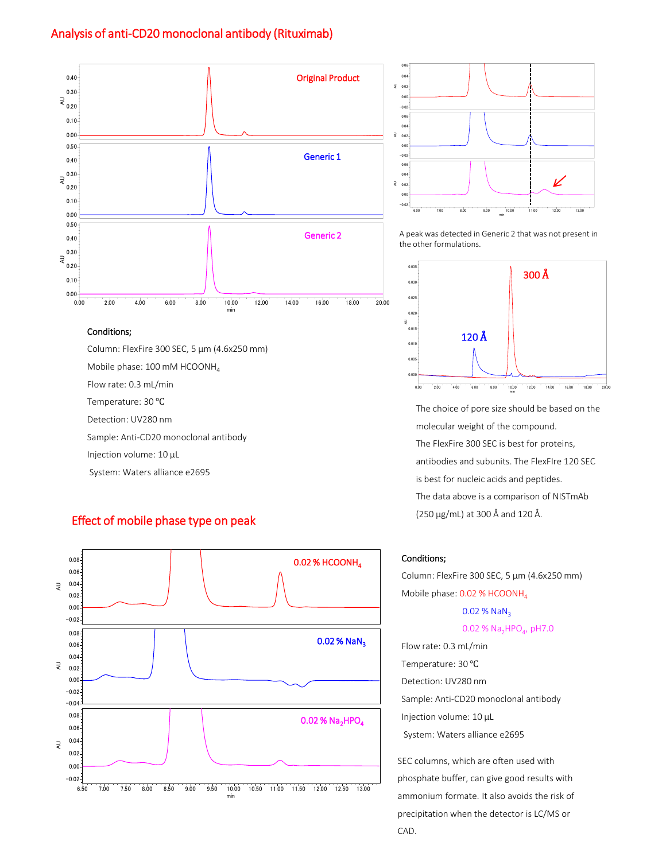## Analysis of anti-CD20 monoclonal antibody (Rituximab)



#### Conditions;

Column: FlexFire 300 SEC, 5 µm (4.6x250 mm)

Mobile phase: 100 mM HCOONH<sub>4</sub>

Flow rate: 0.3 mL/min

Temperature: 30 ℃

Detection: UV280 nm

Sample: Anti-CD20 monoclonal antibody

Injection volume: 10 µL

System: Waters alliance e2695

#### Effect of mobile phase type on peak





Generic 2 A peak was detected in Generic 2 that was not present in the other formulations.



The choice of pore size should be based on the molecular weight of the compound. The FlexFire 300 SEC is best for proteins, antibodies and subunits. The FlexFIre 120 SEC is best for nucleic acids and peptides. The data above is a comparison of NISTmAb (250 µg/mL) at 300 Å and 120 Å.

#### Conditions;

Column: FlexFire 300 SEC, 5 µm (4.6x250 mm) Mobile phase: 0.02 % HCOONH<sub>4</sub>  $0.02$  % NaN<sub>3</sub>

0.02 %  $Na<sub>2</sub>HPO<sub>4</sub>$ , pH7.0

Flow rate: 0.3 mL/min Temperature: 30 ℃ Detection: UV280 nm Sample: Anti-CD20 monoclonal antibody Injection volume: 10 µL System: Waters alliance e2695 CAD. AU 0.000

SEC columns, which are often used with phosphate buffer, can give good results with ammonium formate. It also avoids the risk of precipitation when the detector is LC/MS or CAD.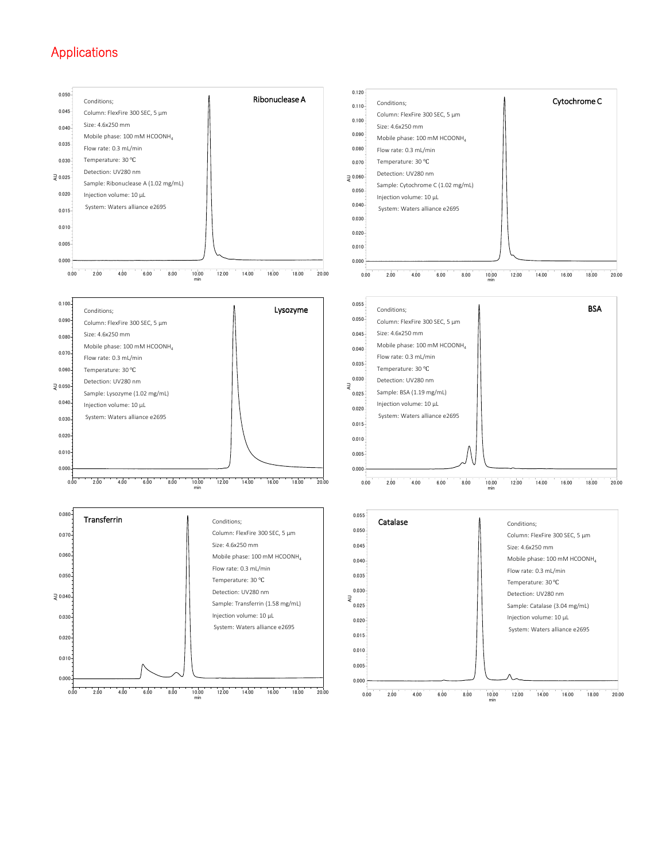# Applications

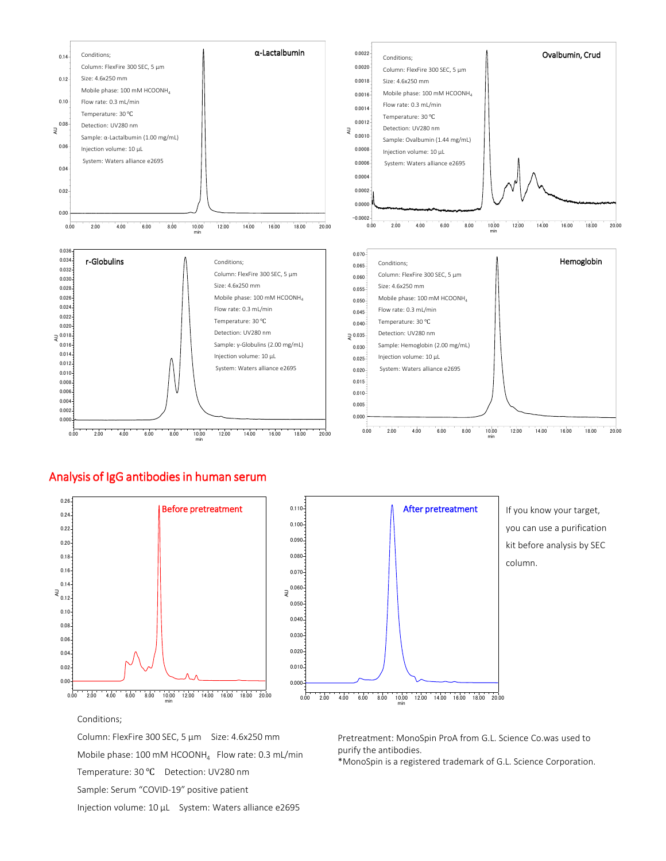

#### Analysis of IgG antibodies in human serum





If you know your target, you can use a purification kit before analysis by SEC column.

Conditions;

Column: FlexFire 300 SEC, 5 µm Size: 4.6x250 mm Mobile phase: 100 mM HCOONH $_4$  Flow rate: 0.3 mL/min Temperature: 30 ℃ Detection: UV280 nm Sample: Serum "COVID-19" positive patient Injection volume: 10 µL System: Waters alliance e2695

Pretreatment: MonoSpin ProA from G.L. Science Co.was used to purify the antibodies.

\*MonoSpin is a registered trademark of G.L. Science Corporation.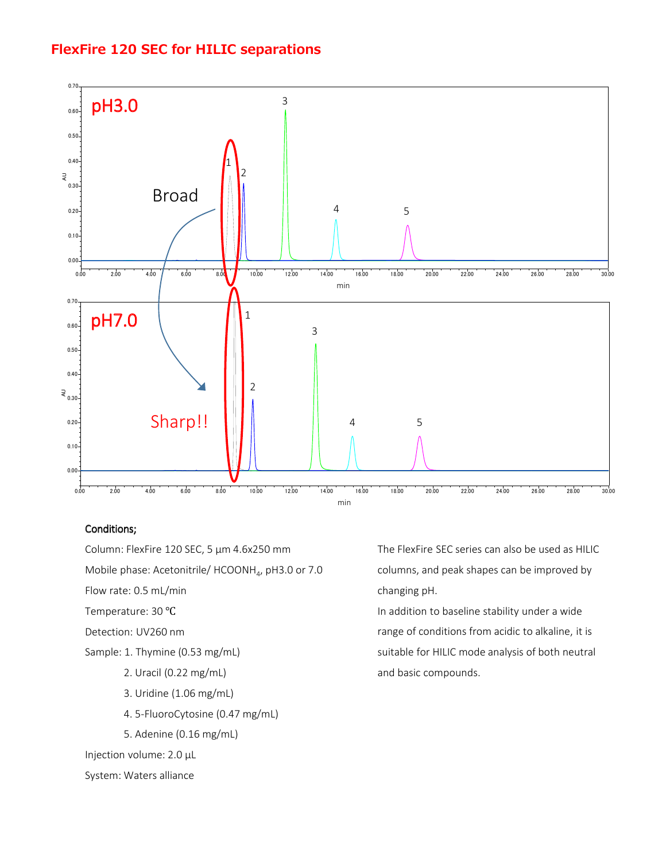# **FlexFire 120 SEC for HILIC separations**



## Conditions;

Column: FlexFire 120 SEC, 5 µm 4.6x250 mm Mobile phase: Acetonitrile/  $HCOONH<sub>4</sub>$ , pH3.0 or 7.0 Flow rate: 0.5 mL/min Temperature: 30 ℃ Detection: UV260 nm Sample: 1. Thymine (0.53 mg/mL) 2. Uracil (0.22 mg/mL) 3. Uridine (1.06 mg/mL) 4. 5-FluoroCytosine (0.47 mg/mL)

5. Adenine (0.16 mg/mL)

Injection volume: 2.0 µL

#### System: Waters alliance

The FlexFire SEC series can also be used as HILIC columns, and peak shapes can be improved by changing pH.

In addition to baseline stability under a wide range of conditions from acidic to alkaline, it is suitable for HILIC mode analysis of both neutral and basic compounds.